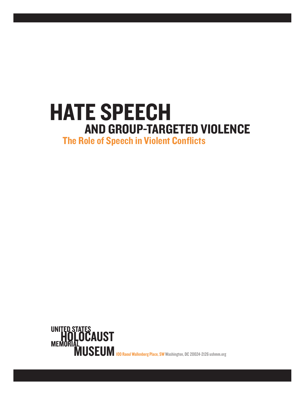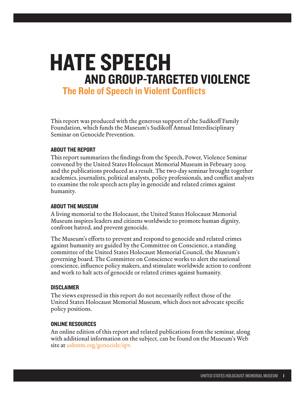# HATE SPEECH AND GROUP-TARGETED VIOLENCE

The Role of Speech in Violent Conflicts

This report was produced with the generous support of the Sudikoff Family Foundation, which funds the Museum's Sudikoff Annual Interdisciplinary Seminar on Genocide Prevention.

#### ABOUT THE REPORT

This report summarizes the findings from the Speech, Power, Violence Seminar convened by the United States Holocaust Memorial Museum in February 2009 and the publications produced as a result. The two-day seminar brought together academics, journalists, political analysts, policy professionals, and conflict analysts to examine the role speech acts play in genocide and related crimes against humanity.

#### ABOUT THE MUSEUM

A living memorial to the Holocaust, the United States Holocaust Memorial Museum inspires leaders and citizens worldwide to promote human dignity, confront hatred, and prevent genocide.

The Museum's efforts to prevent and respond to genocide and related crimes against humanity are guided by the Committee on Conscience, a standing committee of the United States Holocaust Memorial Council, the Museum's governing board. The Committee on Conscience works to alert the national conscience, influence policy makers, and stimulate worldwide action to confront and work to halt acts of genocide or related crimes against humanity.

#### **DISCLAIMER**

The views expressed in this report do not necessarily reflect those of the United States Holocaust Memorial Museum, which does not advocate specific policy positions.

#### ONLINE RESOURCES

An online edition of this report and related publications from the seminar, along with additional information on the subject, can be found on the Museum's Web site a[t ushmm.org/genocide/spv.](http://www.ushmm.org/genocide/spv)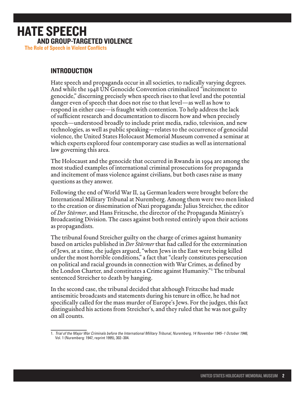#### INTRODUCTION

Hate speech and propaganda occur in all societies, to radically varying degrees. And while the 1948 UN Genocide Convention criminalized "incitement to genocide," discerning precisely when speech rises to that level and the potential danger even of speech that does not rise to that level—as well as how to respond in either case—is fraught with contention. To help address the lack of sufficient research and documentation to discern how and when precisely speech—understood broadly to include print media, radio, television, and new technologies, as well as public speaking—relates to the occurrence of genocidal violence, the United States Holocaust Memorial Museum convened a seminar at which experts explored four contemporary case studies as well as international law governing this area.

The Holocaust and the genocide that occurred in Rwanda in 1994 are among the most studied examples of international criminal prosecutions for propaganda and incitement of mass violence against civilians, but both cases raise as many questions as they answer.

Following the end of World War II, 24 German leaders were brought before the International Military Tribunal at Nuremberg. Among them were two men linked to the creation or dissemination of Nazi propaganda: Julius Streicher, the editor of *Der Stürmer*, and Hans Fritzsche, the director of the Propaganda Ministry's Broadcasting Division. The cases against both rested entirely upon their actions as propagandists.

The tribunal found Streicher guilty on the charge of crimes against humanity based on articles published in *Der Stürmer* that had called for the extermination of Jews, at a time, the judges argued, "when Jews in the East were being killed under the most horrible conditions," a fact that "clearly constitutes persecution on political and racial grounds in connection with War Crimes, as defined by the London Charter, and constitutes a Crime against Humanity."<sup>1</sup> The tribunal sentenced Streicher to death by hanging.

In the second case, the tribunal decided that although Fritzcshe had made antisemitic broadcasts and statements during his tenure in office, he had not specifically called for the mass murder of Europe's Jews. For the judges, this fact distinguished his actions from Streicher's, and they ruled that he was not guilty on all counts.

<sup>1.</sup> *Trial of the Major War Criminals before the International Military Tribunal, Nuremberg, 14 November 1945–1 October 1946,* Vol. 1 (Nuremberg: 1947, reprint 1995), 302–304.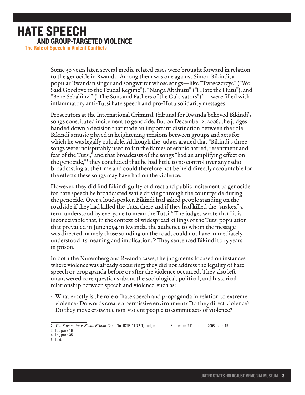Some 50 years later, several media-related cases were brought forward in relation to the genocide in Rwanda. Among them was one against Simon Bikindi, a popular Rwandan singer and songwriter whose songs—like "Twasezereye" ("We Said Goodbye to the Feudal Regime"), "Nanga Abahutu" ("I Hate the Hutu"), and "Bene Sebahinzi" ("The Sons and Fathers of the Cultivators")<sup>2</sup> —were filled with inflammatory anti-Tutsi hate speech and pro-Hutu solidarity messages.

Prosecutors at the International Criminal Tribunal for Rwanda believed Bikindi's songs constituted incitement to genocide. But on December 2, 2008, the judges handed down a decision that made an important distinction between the role Bikindi's music played in heightening tensions between groups and acts for which he was legally culpable. Although the judges argued that "Bikindi's three songs were indisputably used to fan the flames of ethnic hatred, resentment and fear of the Tutsi," and that broadcasts of the songs "had an amplifying effect on the genocide,"<sup>3</sup> they concluded that he had little to no control over any radio broadcasting at the time and could therefore not be held directly accountable for the effects these songs may have had on the violence.

However, they did find Bikindi guilty of direct and public incitement to genocide for hate speech he broadcasted while driving through the countryside during the genocide. Over a loudspeaker, Bikindi had asked people standing on the roadside if they had killed the Tutsi there and if they had killed the "snakes," a term understood by everyone to mean the Tutsi.4 The judges wrote that "it is inconceivable that, in the context of widespread killings of the Tutsi population that prevailed in June 1994 in Rwanda, the audience to whom the message was directed, namely those standing on the road, could not have immediately understood its meaning and implication."<sup>5</sup> They sentenced Bikindi to 15 years in prison.

In both the Nuremberg and Rwanda cases, the judgments focused on instances where violence was already occurring; they did not address the legality of hate speech or propaganda before or after the violence occurred. They also left unanswered core questions about the sociological, political, and historical relationship between speech and violence, such as:

• What exactly is the role of hate speech and propaganda in relation to extreme violence? Do words create a permissive environment? Do they direct violence? Do they move erstwhile non-violent people to commit acts of violence?

<sup>2.</sup> *The Prosecutor v. Simon Bikindi,* Case No. ICTR-01-72-T, Judgement and Sentence, 2 December 2008, para 15.

<sup>3.</sup> Id., para 16.

<sup>4.</sup> Id., para 35.

<sup>5.</sup> Ibid.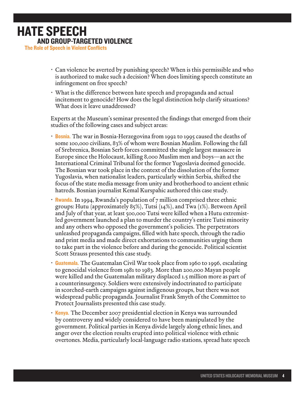- • Can violence be averted by punishing speech? When is this permissible and who is authorized to make such a decision? When does limiting speech constitute an infringement on free speech?
- What is the difference between hate speech and propaganda and actual incitement to genocide? How does the legal distinction help clarify situations? What does it leave unaddressed?

Experts at the Museum's seminar presented the findings that emerged from their studies of the following cases and subject areas:

- Bosnia. The war in Bosnia-Herzegovina from 1992 to 1995 caused the deaths of some 100,000 civilians, 83% of whom were Bosnian Muslim. Following the fall of Srebrenica, Bosnian Serb forces committed the single largest massacre in Europe since the Holocaust, killing 8,000 Muslim men and boys—an act the International Criminal Tribunal for the former Yugoslavia deemed genocide. The Bosnian war took place in the context of the dissolution of the former Yugoslavia, when nationalist leaders, particularly within Serbia, shifted the focus of the state media message from unity and brotherhood to ancient ethnic hatreds. Bosnian journalist Kemal Kurspahic authored this case study.
- **Rwanda.** In 1994, Rwanda's population of  $7$  million comprised three ethnic groups: Hutu (approximately 85%), Tutsi (14%), and Twa (1%). Between April and July of that year, at least 500,000 Tutsi were killed when a Hutu extremistled government launched a plan to murder the country's entire Tutsi minority and any others who opposed the government's policies. The perpetrators unleashed propaganda campaigns, filled with hate speech, through the radio and print media and made direct exhortations to communities urging them to take part in the violence before and during the genocide. Political scientist Scott Strauss presented this case study.
- **Guatemala.** The Guatemalan Civil War took place from 1960 to 1996, escalating to genocidal violence from 1981 to 1983. More than 200,000 Mayan people were killed and the Guatemalan military displaced 1.5 million more as part of a counterinsurgency. Soldiers were extensively indoctrinated to participate in scorched-earth campaigns against indigenous groups, but there was not widespread public propaganda. Journalist Frank Smyth of the Committee to Protect Journalists presented this case study.
- Kenya. The December 2007 presidential election in Kenya was surrounded by controversy and widely considered to have been manipulated by the government. Political parties in Kenya divide largely along ethnic lines, and anger over the election results erupted into political violence with ethnic overtones. Media, particularly local-language radio stations, spread hate speech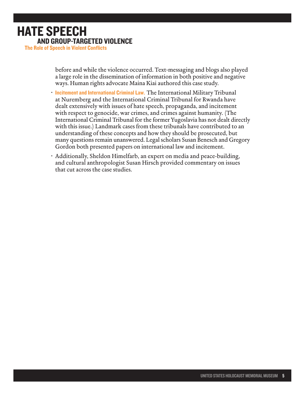before and while the violence occurred. Text-messaging and blogs also played a large role in the dissemination of information in both positive and negative ways. Human rights advocate Maina Kiai authored this case study.

- Incitement and International Criminal Law. The International Military Tribunal at Nuremberg and the International Criminal Tribunal for Rwanda have dealt extensively with issues of hate speech, propaganda, and incitement with respect to genocide, war crimes, and crimes against humanity. (The International Criminal Tribunal for the former Yugoslavia has not dealt directly with this issue.) Landmark cases from these tribunals have contributed to an understanding of these concepts and how they should be prosecuted, but many questions remain unanswered. Legal scholars Susan Benesch and Gregory Gordon both presented papers on international law and incitement.
- • Additionally, Sheldon Himelfarb, an expert on media and peace-building, and cultural anthropologist Susan Hirsch provided commentary on issues that cut across the case studies.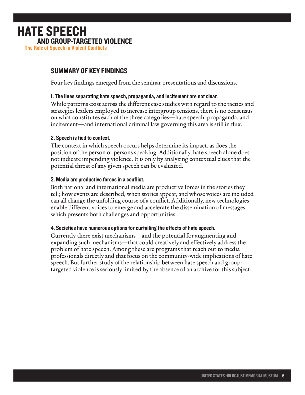#### SUMMARY OF KEY FINDINGS

Four key findings emerged from the seminar presentations and discussions.

#### 1. The lines separating hate speech, propaganda, and incitement are not clear.

While patterns exist across the different case studies with regard to the tactics and strategies leaders employed to increase intergroup tensions, there is no consensus on what constitutes each of the three categories—hate speech, propaganda, and incitement—and international criminal law governing this area is still in flux.

#### 2. Speech is tied to context.

The context in which speech occurs helps determine its impact, as does the position of the person or persons speaking. Additionally, hate speech alone does not indicate impending violence. It is only by analyzing contextual clues that the potential threat of any given speech can be evaluated.

#### 3. Media are productive forces in a conflict.

Both national and international media are productive forces in the stories they tell; how events are described, when stories appear, and whose voices are included can all change the unfolding course of a conflict. Additionally, new technologies enable different voices to emerge and accelerate the dissemination of messages, which presents both challenges and opportunities.

#### 4. Societies have numerous options for curtailing the effects of hate speech.

Currently there exist mechanisms—and the potential for augmenting and expanding such mechanisms—that could creatively and effectively address the problem of hate speech. Among these are programs that reach out to media professionals directly and that focus on the community-wide implications of hate speech. But further study of the relationship between hate speech and grouptargeted violence is seriously limited by the absence of an archive for this subject.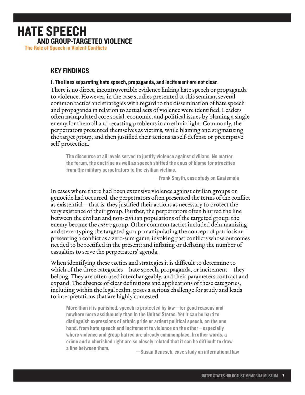#### KEY FINDINGS

1. The lines separating hate speech, propaganda, and incitement are not clear.

There is no direct, incontrovertible evidence linking hate speech or propaganda to violence. However, in the case studies presented at this seminar, several common tactics and strategies with regard to the dissemination of hate speech and propaganda in relation to actual acts of violence were identified. Leaders often manipulated core social, economic, and political issues by blaming a single enemy for them all and recasting problems in an ethnic light. Commonly, the perpetrators presented themselves as victims, while blaming and stigmatizing the target group, and then justified their actions as self-defense or preemptive self-protection.

The discourse at all levels served to justify violence against civilians. No matter the forum, the doctrine as well as speech shifted the onus of blame for atrocities from the military perpetrators to the civilian victims.

—Frank Smyth, case study on Guatemala

In cases where there had been extensive violence against civilian groups or genocide had occurred, the perpetrators often presented the terms of the conflict as existential—that is, they justified their actions as necessary to protect the very existence of their group. Further, the perpetrators often blurred the line between the civilian and non-civilian populations of the targeted group; the enemy became the *entire* group. Other common tactics included dehumanizing and stereotyping the targeted group; manipulating the concept of patriotism; presenting a conflict as a zero-sum game; invoking past conflicts whose outcomes needed to be rectified in the present; and inflating or deflating the number of casualties to serve the perpetrators' agenda.

When identifying these tactics and strategies it is difficult to determine to which of the three categories—hate speech, propaganda, or incitement—they belong. They are often used interchangeably, and their parameters contract and expand. The absence of clear definitions and applications of these categories, including within the legal realm, poses a serious challenge for study and leads to interpretations that are highly contested.

More than it is punished, speech is protected by law—for good reasons and nowhere more assiduously than in the United States. Yet it can be hard to distinguish expressions of ethnic pride or ardent political speech, on the one hand, from hate speech and incitement to violence on the other—especially where violence and group hatred are already commonplace. In other words, a crime and a cherished right are so closely related that it can be difficult to draw a line between them. —Susan Benesch, case study on international law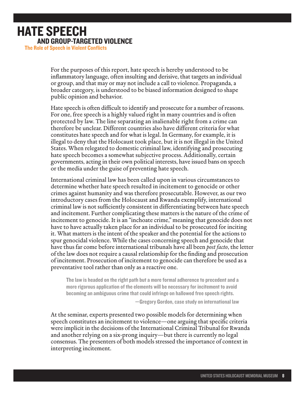For the purposes of this report, hate speech is hereby understood to be inflammatory language, often insulting and derisive, that targets an individual or group, and that may or may not include a call to violence. Propaganda, a broader category, is understood to be biased information designed to shape public opinion and behavior.

Hate speech is often difficult to identify and prosecute for a number of reasons. For one, free speech is a highly valued right in many countries and is often protected by law. The line separating an inalienable right from a crime can therefore be unclear. Different countries also have different criteria for what constitutes hate speech and for what is legal. In Germany, for example, it is illegal to deny that the Holocaust took place, but it is not illegal in the United States. When relegated to domestic criminal law, identifying and prosecuting hate speech becomes a somewhat subjective process. Additionally, certain governments, acting in their own political interests, have issued bans on speech or the media under the guise of preventing hate speech.

International criminal law has been called upon in various circumstances to determine whether hate speech resulted in incitement to genocide or other crimes against humanity and was therefore prosecutable. However, as our two introductory cases from the Holocaust and Rwanda exemplify, international criminal law is not sufficiently consistent in differentiating between hate speech and incitement. Further complicating these matters is the nature of the crime of incitement to genocide. It is an "inchoate crime," meaning that genocide does not have to have actually taken place for an individual to be prosecuted for inciting it. What matters is the intent of the speaker and the potential for the actions to spur genocidal violence. While the cases concerning speech and genocide that have thus far come before international tribunals have all been *post facto*, the letter of the law does not require a causal relationship for the finding and prosecution of incitement. Prosecution of incitement to genocide can therefore be used as a preventative tool rather than only as a reactive one.

The law is headed on the right path but a more formal adherence to precedent and a more rigorous application of the elements will be necessary for incitement to avoid becoming an ambiguous crime that could infringe on hallowed free speech rights.

—Gregory Gordon, case study on international law

At the seminar, experts presented two possible models for determining when speech constitutes an incitement to violence—one arguing that specific criteria were implicit in the decisions of the International Criminal Tribunal for Rwanda and another relying on a six-prong inquiry—but there is currently no legal consensus. The presenters of both models stressed the importance of context in interpreting incitement.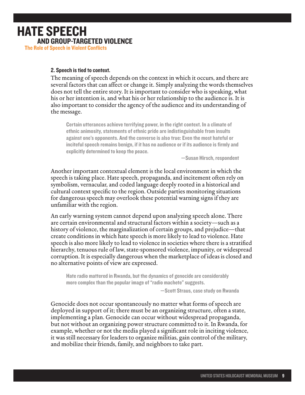## HATE SPEECH AND GROUP-TARGETED VIOLENCE

The Role of Speech in Violent Conflicts

#### 2. Speech is tied to context.

The meaning of speech depends on the context in which it occurs, and there are several factors that can affect or change it. Simply analyzing the words themselves does not tell the entire story. It is important to consider who is speaking, what his or her intention is, and what his or her relationship to the audience is. It is also important to consider the agency of the audience and its understanding of the message.

Certain utterances achieve terrifying power, in the right context. In a climate of ethnic animosity, statements of ethnic pride are indistinguishable from insults against one's opponents. And the converse is also true: Even the most hateful or inciteful speech remains benign, if it has no audience or if its audience is firmly and explicitly determined to keep the peace.

—Susan Hirsch, respondent

Another important contextual element is the local environment in which the speech is taking place. Hate speech, propaganda, and incitement often rely on symbolism, vernacular, and coded language deeply rooted in a historical and cultural context specific to the region. Outside parties monitoring situations for dangerous speech may overlook these potential warning signs if they are unfamiliar with the region.

An early warning system cannot depend upon analyzing speech alone. There are certain environmental and structural factors within a society—such as a history of violence, the marginalization of certain groups, and prejudice—that create conditions in which hate speech is more likely to lead to violence. Hate speech is also more likely to lead to violence in societies where there is a stratified hierarchy, tenuous rule of law, state-sponsored violence, impunity, or widespread corruption. It is especially dangerous when the marketplace of ideas is closed and no alternative points of view are expressed.

Hate radio mattered in Rwanda, but the dynamics of genocide are considerably more complex than the popular image of "radio machete" suggests.

—Scott Straus, case study on Rwanda

Genocide does not occur spontaneously no matter what forms of speech are deployed in support of it; there must be an organizing structure, often a state, implementing a plan. Genocide can occur without widespread propaganda, but not without an organizing power structure committed to it. In Rwanda, for example, whether or not the media played a significant role in inciting violence, it was still necessary for leaders to organize militias, gain control of the military, and mobilize their friends, family, and neighbors to take part.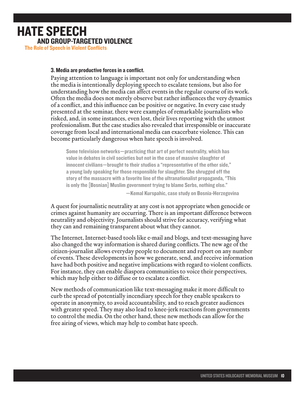#### 3. Media are productive forces in a conflict.

Paying attention to language is important not only for understanding when the media is intentionally deploying speech to escalate tensions, but also for understanding how the media can affect events in the regular course of its work. Often the media does not merely observe but rather influences the very dynamics of a conflict, and this influence can be positive or negative. In every case study presented at the seminar, there were examples of remarkable journalists who risked, and, in some instances, even lost, their lives reporting with the utmost professionalism. But the case studies also revealed that irresponsible or inaccurate coverage from local and international media can exacerbate violence. This can become particularly dangerous when hate speech is involved.

Some television networks—practicing that art of perfect neutrality, which has value in debates in civil societies but not in the case of massive slaughter of innocent civilians—brought to their studios a "representative of the other side," a young lady speaking for those responsible for slaughter. She shrugged off the story of the massacre with a favorite line of the ultranationalist propaganda, "This is only the [Bosnian] Muslim government trying to blame Serbs, nothing else."

—Kemal Kurspahic, case study on Bosnia-Herzegovina

A quest for journalistic neutrality at any cost is not appropriate when genocide or crimes against humanity are occurring. There is an important difference between neutrality and objectivity. Journalists should strive for accuracy, verifying what they can and remaining transparent about what they cannot.

The Internet, Internet-based tools like e-mail and blogs, and text-messaging have also changed the way information is shared during conflicts. The new age of the citizen-journalist allows everyday people to document and report on any number of events. These developments in how we generate, send, and receive information have had both positive and negative implications with regard to violent conflicts. For instance, they can enable diaspora communities to voice their perspectives, which may help either to diffuse or to escalate a conflict.

New methods of communication like text-messaging make it more difficult to curb the spread of potentially incendiary speech for they enable speakers to operate in anonymity, to avoid accountability, and to reach greater audiences with greater speed. They may also lead to knee-jerk reactions from governments to control the media. On the other hand, these new methods can allow for the free airing of views, which may help to combat hate speech.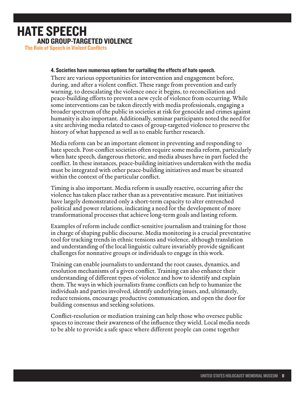# HATE SPEECH AND GROUP-TARGETED VIOLENCE

The Role of Speech in Violent Conflicts

#### 4. Societies have numerous options for curtailing the effects of hate speech.

There are various opportunities for intervention and engagement before, during, and after a violent conflict. These range from prevention and early warning, to deescalating the violence once it begins, to reconciliation and peace-building efforts to prevent a new cycle of violence from occurring. While some interventions can be taken directly with media professionals, engaging a broader spectrum of the public in societies at risk for genocide and crimes against humanity is also important. Additionally, seminar participants noted the need for a site archiving media related to cases of group-targeted violence to preserve the history of what happened as well as to enable further research.

Media reform can be an important element in preventing and responding to hate speech. Post-conflict societies often require some media reform, particularly when hate speech, dangerous rhetoric, and media abuses have in part fueled the conflict. In these instances, peace-building initiatives undertaken with the media must be integrated with other peace-building initiatives and must be situated within the context of the particular conflict.

Timing is also important. Media reform is usually reactive, occurring after the violence has taken place rather than as a preventative measure. Past initiatives have largely demonstrated only a short-term capacity to alter entrenched political and power relations, indicating a need for the development of more transformational processes that achieve long-term goals and lasting reform.

Examples of reform include conflict-sensitive journalism and training for those in charge of shaping public discourse. Media monitoring is a crucial preventative tool for tracking trends in ethnic tensions and violence, although translation and understanding of the local linguistic culture invariably provide significant challenges for nonnative groups or individuals to engage in this work.

Training can enable journalists to understand the root causes, dynamics, and resolution mechanisms of a given conflict. Training can also enhance their understanding of different types of violence and how to identify and explain them. The ways in which journalists frame conflicts can help to humanize the individuals and parties involved, identify underlying issues, and, ultimately, reduce tensions, encourage productive communication, and open the door for building consensus and seeking solutions.

Conflict-resolution or mediation training can help those who oversee public spaces to increase their awareness of the influence they wield. Local media needs to be able to provide a safe space where different people can come together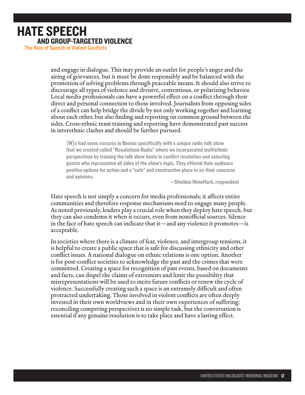and engage in dialogue. This may provide an outlet for people's anger and the airing of grievances, but it must be done responsibly and be balanced with the promotion of solving problems through peaceable means. It should also strive to discourage all types of violence and divisive, contentious, or polarizing behavior. Local media professionals can have a powerful effect on a conflict through their direct and personal connection to those involved. Journalists from opposing sides of a conflict can help bridge the divide by not only working together and learning about each other, but also finding and reporting on common ground between the sides. Cross-ethnic team training and reporting have demonstrated past success in interethnic clashes and should be further pursued.

[W]e had some success in Bosnia specifically with a unique radio talk show that we created called "Resolutions Radio" where we incorporated multiethnic perspectives by training the talk show hosts in conflict resolution and selecting guests who represented all sides of the show's topic. They offered their audience positive options for action and a "safe" and constructive place to air their concerns and opinions.

—Sheldon Himelfarb, respondent

Hate speech is not simply a concern for media professionals; it affects entire communities and therefore response mechanisms need to engage many people. As noted previously, leaders play a crucial role when they deploy hate speech, but they can also condemn it when it occurs, even from nonofficial sources. Silence in the face of hate speech can indicate that it—and any violence it promotes—is acceptable.

In societies where there is a climate of fear, violence, and intergroup tensions, it is helpful to create a public space that is safe for discussing ethnicity and other conflict issues. A national dialogue on ethnic relations is one option. Another is for post-conflict societies to acknowledge the past and the crimes that were committed. Creating a space for recognition of past events, based on documents and facts, can dispel the claims of extremists and limit the possibility that misrepresentations will be used to incite future conflicts or renew the cycle of violence. Successfully creating such a space is an extremely difficult and often protracted undertaking. Those involved in violent conflicts are often deeply invested in their own worldviews and in their own experiences of suffering; reconciling competing perspectives is no simple task, but the conversation is essential if any genuine resolution is to take place and have a lasting effect.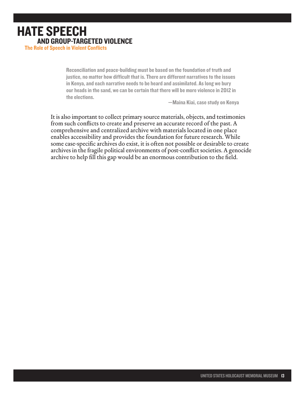Reconciliation and peace-building must be based on the foundation of truth and justice, no matter how difficult that is. There are different narratives to the issues in Kenya, and each narrative needs to be heard and assimilated. As long we bury our heads in the sand, we can be certain that there will be more violence in 2012 in the elections.

—Maina Kiai, case study on Kenya

It is also important to collect primary source materials, objects, and testimonies from such conflicts to create and preserve an accurate record of the past. A comprehensive and centralized archive with materials located in one place enables accessibility and provides the foundation for future research. While some case-specific archives do exist, it is often not possible or desirable to create archives in the fragile political environments of post-conflict societies. A genocide archive to help fill this gap would be an enormous contribution to the field.